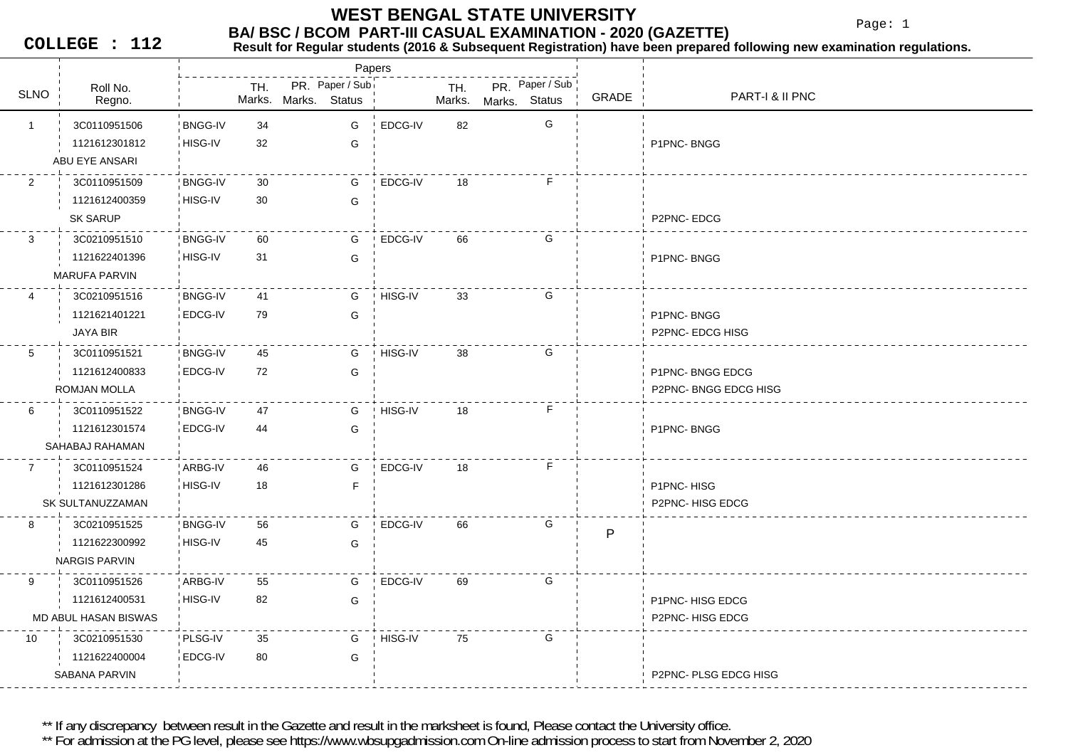### **BA/ BSC / BCOM PART-III CASUAL EXAMINATION - 2020 (GAZETTE) WEST BENGAL STATE UNIVERSITY**

Page: 1

**COLLEGE : 112**

## **Result for Regular students (2016 & Subsequent Registration) have been prepared following new examination regulations.**

Roll No.TH. PR. Paper / Sub SLNO Marks.Regno. Marks. TH. PR. Status Marks. Marks.**Status** Papers PR Paper / Sub GRADE PART-I & II PNC 1 34 3C0110951506 BNGG-IVHISG-IV 32 GG EDCG-IV 82 G 1121612301812G FIRMC- BNGG ABU EYE ANSARI 2 30 3C0110951509 BNGG-IV**BNGG-IV** HISG-IV 30 GGEDCG-IV 18 F 1121612400359SK SARUP P2PNC- EDCG 3 60 3C0210951510 BNGG-IVHISG-IV 31 GG EDCG-IV 66 G 1121622401396G P1PNC- BNGG MARUFA PARVIN 4 41 3C0210951516 BNGG-IVEDCG-IV 79 GG HISG-IV 33 G 1121621401221G P1PNC- BNGG JAYA BIR P2PNC- EDCG HISG 5 45 3C0110951521 BNGG-IV**BNGG-IV** EDCG-IV 72 GG HISG-IV 38 G 1121612400833**G** B1PNC- BNGG EDCG ROMJAN MOLLA P2PNC- BNGG EDCG HISG 6 47 3C0110951522 BNGG-IV**BNGG-IV** EDCG-IV 44 GGHISG-IV 18 F 1121612301574G P1PNC- BNGG SAHABAJ RAHAMAN 7 46 3C0110951524 ARBG-IV6 HISG-IV 18 F GEDCG-IV 18 F 1121612301286**P1PNC-HISG** SK SULTANUZZAMAN P2PNC- HISG EDCG 8 56 3C0210951525 BNGG-IV**BNGG-IV** 2 HISG-IV 45 G G EDCG-IV 66 G 1121622300992PNARGIS PARVIN 9 55 3C0110951526 ARBG-IVARBG-IV 1 HISG-IV 82 G 82 G EDCG-IV 69 G 1121612400531**G** P1PNC- HISG EDCG MD ABUL HASAN BISWAS P2PNC- HISG EDCG 10 3C0210951530 PLSG-IV 35 EDCG-IV 80 G80 G HISG-IV 75 G 1121622400004SABANA PARVINP2PNC- PLSG EDCG HISG

\*\* If any discrepancy between result in the Gazette and result in the marksheet is found. Please contact the University office.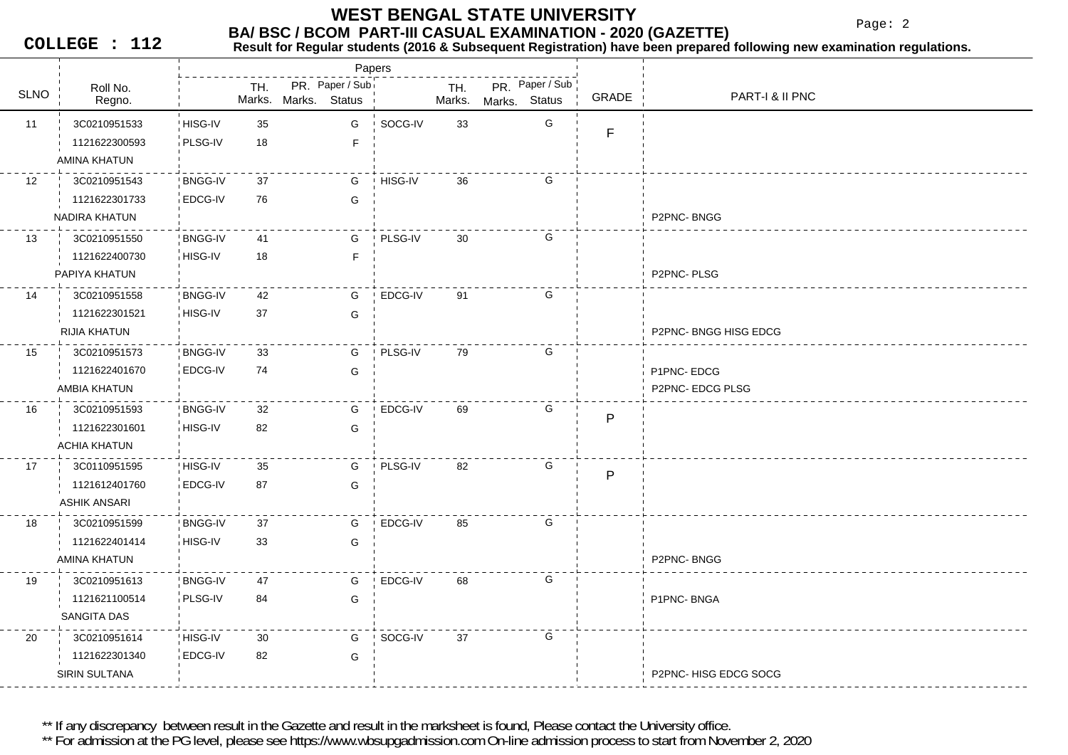Page: 2

**COLLEGE : 112**

### **Result for Regular students (2016 & Subsequent Registration) have been prepared following new examination regulations.**

|                  |                     |                |     |                      | Papers          |         |               |               |                 |              |                       |
|------------------|---------------------|----------------|-----|----------------------|-----------------|---------|---------------|---------------|-----------------|--------------|-----------------------|
| <b>SLNO</b>      | Roll No.            |                | TH. | Marks. Marks. Status | PR. Paper / Sub |         | TH.<br>Marks. |               | PR. Paper / Sub | GRADE        | PART-I & II PNC       |
|                  | Regno.              |                |     |                      |                 |         |               | Marks. Status |                 |              |                       |
| 11               | 3C0210951533        | HISG-IV        | 35  |                      | G               | SOCG-IV | 33            |               | G               | $\mathsf F$  |                       |
|                  | 1121622300593       | PLSG-IV        | 18  |                      | F               |         |               |               |                 |              |                       |
|                  | AMINA KHATUN        |                |     |                      |                 |         |               |               |                 |              |                       |
| 12 <sup>12</sup> | 3C0210951543        | <b>BNGG-IV</b> | 37  |                      | G               | HISG-IV | 36            |               | G               |              |                       |
|                  | 1121622301733       | EDCG-IV        | 76  |                      | G               |         |               |               |                 |              |                       |
|                  | NADIRA KHATUN       |                |     |                      |                 |         |               |               |                 |              | P2PNC-BNGG            |
| 13               | 3C0210951550        | <b>BNGG-IV</b> | 41  |                      | G               | PLSG-IV | 30            |               | G               |              |                       |
|                  | 1121622400730       | HISG-IV        | 18  |                      | $\mathsf F$     |         |               |               |                 |              |                       |
|                  | PAPIYA KHATUN       |                |     |                      |                 |         |               |               |                 |              | P2PNC-PLSG            |
| 14               | 3C0210951558        | <b>BNGG-IV</b> | 42  |                      | G               | EDCG-IV | 91            |               | G               |              |                       |
|                  | 1121622301521       | HISG-IV        | 37  |                      | G               |         |               |               |                 |              |                       |
|                  | <b>RIJIA KHATUN</b> |                |     |                      |                 |         |               |               |                 |              | P2PNC-BNGG HISG EDCG  |
| 15               | 3C0210951573        | <b>BNGG-IV</b> | 33  |                      | G               | PLSG-IV | 79            |               | G               |              |                       |
|                  | 1121622401670       | EDCG-IV        | 74  |                      | G               |         |               |               |                 |              | P1PNC-EDCG            |
|                  | AMBIA KHATUN        |                |     |                      |                 |         |               |               |                 |              | P2PNC-EDCG PLSG       |
| 16               | 3C0210951593        | <b>BNGG-IV</b> | 32  |                      | G               | EDCG-IV | 69            |               | G               | $\mathsf{P}$ |                       |
|                  | 1121622301601       | HISG-IV        | 82  |                      | G               |         |               |               |                 |              |                       |
|                  | <b>ACHIA KHATUN</b> |                |     |                      |                 |         |               |               |                 |              |                       |
| 17               | 3C0110951595        | ! HISG-IV      | 35  |                      | G               | PLSG-IV | 82            |               | G               |              |                       |
|                  | 1121612401760       | EDCG-IV        | 87  |                      | G               |         |               |               |                 | $\mathsf{P}$ |                       |
|                  | <b>ASHIK ANSARI</b> |                |     |                      |                 |         |               |               |                 |              |                       |
| 18               | 3C0210951599        | <b>BNGG-IV</b> | 37  |                      | G               | EDCG-IV | 85            |               | G               |              |                       |
|                  | 1121622401414       | HISG-IV        | 33  |                      | G               |         |               |               |                 |              |                       |
|                  | AMINA KHATUN        |                |     |                      |                 |         |               |               |                 |              | P2PNC-BNGG            |
| 19               | 3C0210951613        | <b>BNGG-IV</b> | 47  |                      | G               | EDCG-IV | 68            |               | G               |              |                       |
|                  | 1121621100514       | PLSG-IV        | 84  |                      | G               |         |               |               |                 |              | P1PNC-BNGA            |
|                  | SANGITA DAS         |                |     |                      |                 |         |               |               |                 |              |                       |
| 20               | 3C0210951614        | HISG-IV        | 30  |                      | G               | SOCG-IV | 37            |               | G               |              |                       |
|                  | 1121622301340       | <b>EDCG-IV</b> | 82  |                      | G               |         |               |               |                 |              |                       |
|                  | SIRIN SULTANA       |                |     |                      |                 |         |               |               |                 |              | P2PNC- HISG EDCG SOCG |
|                  |                     |                |     |                      |                 |         |               |               |                 |              |                       |

\*\* If any discrepancy between result in the Gazette and result in the marksheet is found, Please contact the University office.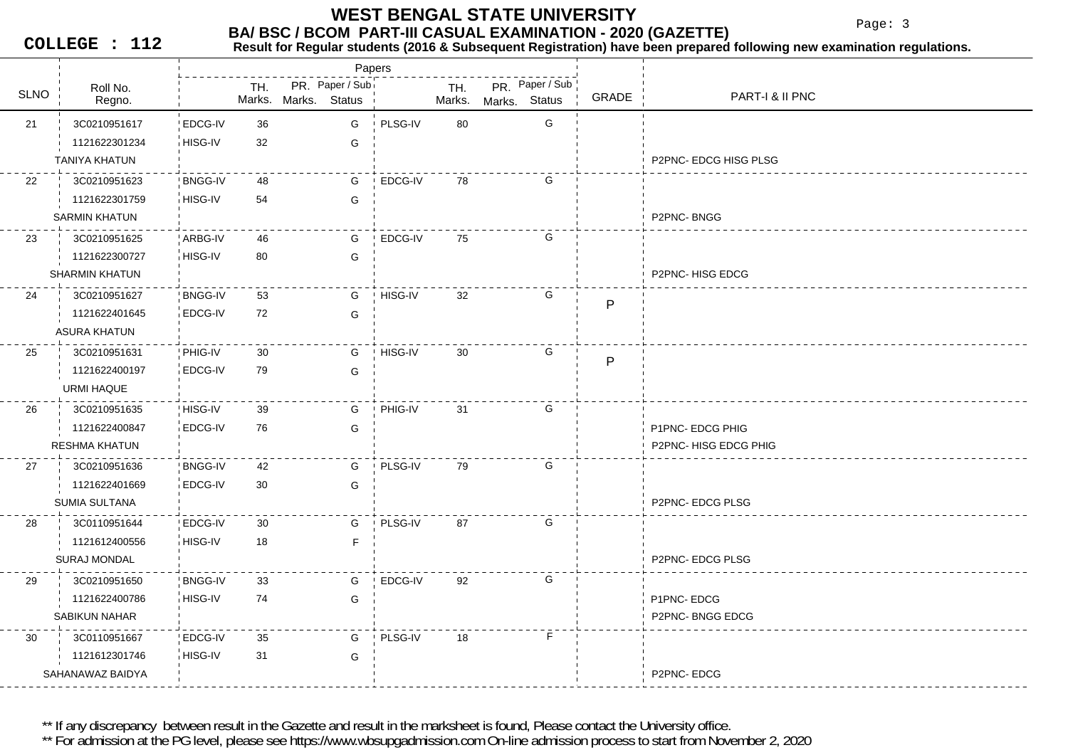Page: 3

**COLLEGE : 112**

## **Result for Regular students (2016 & Subsequent Registration) have been prepared following new examination regulations.**

|             |                       |                |               |               | Papers          |         |               |               |                 |              |                      |
|-------------|-----------------------|----------------|---------------|---------------|-----------------|---------|---------------|---------------|-----------------|--------------|----------------------|
| <b>SLNO</b> | Roll No.<br>Regno.    |                | TH.<br>Marks. | Marks. Status | PR. Paper / Sub |         | TH.<br>Marks. | Marks. Status | PR. Paper / Sub | GRADE        | PART-I & II PNC      |
|             |                       |                |               |               |                 |         |               |               |                 |              |                      |
| 21          | 3C0210951617          | EDCG-IV        | 36            |               | G               | PLSG-IV | 80            |               | G               |              |                      |
|             | 1121622301234         | HISG-IV        | 32            |               | G               |         |               |               |                 |              |                      |
|             | <b>TANIYA KHATUN</b>  |                |               |               |                 |         |               |               |                 |              | P2PNC-EDCG HISG PLSG |
| 22          | 3C0210951623          | <b>BNGG-IV</b> | 48            |               | G               | EDCG-IV | 78            |               | G               |              |                      |
|             | 1121622301759         | HISG-IV        | 54            |               | G               |         |               |               |                 |              |                      |
|             | <b>SARMIN KHATUN</b>  |                |               |               |                 |         |               |               |                 |              | P2PNC-BNGG           |
| 23          | 3C0210951625          | ARBG-IV        | 46            |               | G               | EDCG-IV | 75            |               | G               |              |                      |
|             | 1121622300727         | HISG-IV        | 80            |               | G               |         |               |               |                 |              |                      |
|             | <b>SHARMIN KHATUN</b> |                |               |               |                 |         |               |               |                 |              | P2PNC-HISG EDCG      |
| 24          | 3C0210951627          | <b>BNGG-IV</b> | 53            |               | G               | HISG-IV | 32            |               | G               | $\mathsf{P}$ |                      |
|             | 1121622401645         | EDCG-IV        | 72            |               | G               |         |               |               |                 |              |                      |
|             | <b>ASURA KHATUN</b>   |                |               |               |                 |         |               |               |                 |              |                      |
| 25          | 3C0210951631          | PHIG-IV        | 30            |               | G               | HISG-IV | 30            |               | G               |              |                      |
|             | 1121622400197         | EDCG-IV        | 79            |               | G               |         |               |               |                 | P            |                      |
|             | URMI HAQUE            |                |               |               |                 |         |               |               |                 |              |                      |
| 26          | 3C0210951635          | HISG-IV        | 39            |               | G               | PHIG-IV | 31            |               | G               |              |                      |
|             | 1121622400847         | EDCG-IV        | 76            |               | G               |         |               |               |                 |              | P1PNC- EDCG PHIG     |
|             | <b>RESHMA KHATUN</b>  |                |               |               |                 |         |               |               |                 |              | P2PNC-HISG EDCG PHIG |
| 27          | 3C0210951636          | <b>BNGG-IV</b> | 42            |               | G               | PLSG-IV | 79            |               | G               |              |                      |
|             | 1121622401669         | EDCG-IV        | 30            |               | G               |         |               |               |                 |              |                      |
|             | SUMIA SULTANA         |                |               |               |                 |         |               |               |                 |              | P2PNC-EDCG PLSG      |
| 28          | 3C0110951644          | EDCG-IV        | 30            |               | G               | PLSG-IV | 87            |               | G               |              |                      |
|             | 1121612400556         | HISG-IV        | 18            |               | $\mathsf F$     |         |               |               |                 |              |                      |
|             | <b>SURAJ MONDAL</b>   |                |               |               |                 |         |               |               |                 |              | P2PNC-EDCG PLSG      |
|             |                       |                |               |               |                 |         |               |               |                 |              |                      |
| 29          | 3C0210951650          | <b>BNGG-IV</b> | 33            |               | G               | EDCG-IV | 92            |               | G               |              |                      |
|             | 1121622400786         | HISG-IV        | 74            |               | G               |         |               |               |                 |              | P1PNC-EDCG           |
|             | <b>SABIKUN NAHAR</b>  |                |               |               |                 |         |               |               |                 |              | P2PNC-BNGG EDCG      |
| 30          | 3C0110951667          | EDCG-IV        | 35            |               | G               | PLSG-IV | 18            |               | F.              |              |                      |
|             | 1121612301746         | HISG-IV        | 31            |               | G               |         |               |               |                 |              |                      |
|             | SAHANAWAZ BAIDYA      |                |               |               |                 |         |               |               |                 |              | P2PNC-EDCG           |

\*\* If any discrepancy between result in the Gazette and result in the marksheet is found, Please contact the University office.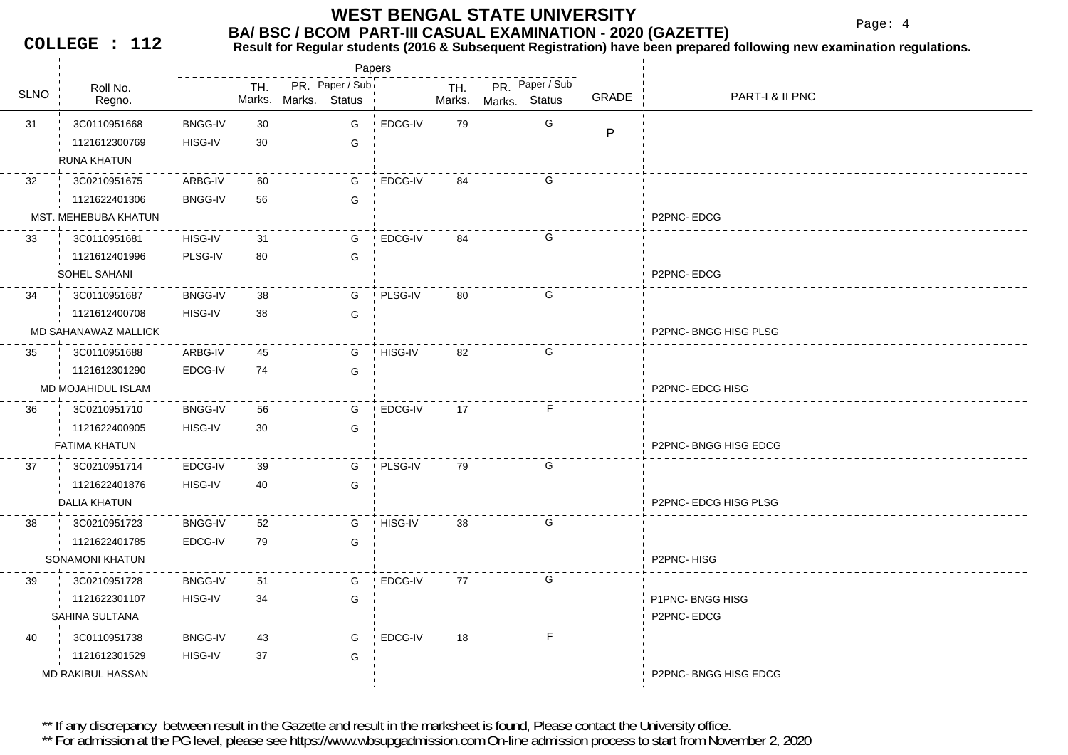Page: 4

**COLLEGE : 112**

#### **Result for Regular students (2016 & Subsequent Registration) have been prepared following new examination regulations.**

|             |                          |                |     | Papers               |         |        |               |                 |       |                            |
|-------------|--------------------------|----------------|-----|----------------------|---------|--------|---------------|-----------------|-------|----------------------------|
| <b>SLNO</b> | Roll No.                 |                | TH. | PR. Paper / Sub      |         | TH.    |               | PR. Paper / Sub | GRADE | <b>PART-I &amp; II PNC</b> |
|             | Regno.                   |                |     | Marks. Marks. Status |         | Marks. | Marks. Status |                 |       |                            |
| 31          | 3C0110951668             | <b>BNGG-IV</b> | 30  | G                    | EDCG-IV | 79     |               | G               | P     |                            |
|             | 1121612300769            | HISG-IV        | 30  | G                    |         |        |               |                 |       |                            |
|             | <b>RUNA KHATUN</b>       |                |     |                      |         |        |               |                 |       |                            |
| 32          | 3C0210951675             | ARBG-IV        | 60  | G                    | EDCG-IV | 84     |               | G               |       |                            |
|             | 1121622401306            | <b>BNGG-IV</b> | 56  | G                    |         |        |               |                 |       |                            |
|             | MST. MEHEBUBA KHATUN     |                |     |                      |         |        |               |                 |       | P2PNC-EDCG                 |
| 33          | 3C0110951681             | HISG-IV        | 31  | G                    | EDCG-IV | 84     |               | G               |       |                            |
|             | 1121612401996            | PLSG-IV        | 80  | G                    |         |        |               |                 |       |                            |
|             | SOHEL SAHANI             |                |     |                      |         |        |               |                 |       | P2PNC-EDCG                 |
| 34          | 3C0110951687             | <b>BNGG-IV</b> | 38  | G                    | PLSG-IV | 80     |               | G               |       |                            |
|             | 1121612400708            | HISG-IV        | 38  | G                    |         |        |               |                 |       |                            |
|             | MD SAHANAWAZ MALLICK     |                |     |                      |         |        |               |                 |       | P2PNC-BNGG HISG PLSG       |
| 35          | 3C0110951688             | ARBG-IV        | 45  | G                    | HISG-IV | 82     |               | G               |       |                            |
|             | 1121612301290            | EDCG-IV        | 74  | G                    |         |        |               |                 |       |                            |
|             | MD MOJAHIDUL ISLAM       |                |     |                      |         |        |               |                 |       | P2PNC- EDCG HISG           |
| 36          | 3C0210951710             | <b>BNGG-IV</b> | 56  | G                    | EDCG-IV | 17     |               | F.              |       |                            |
|             | 1121622400905            | HISG-IV        | 30  | G                    |         |        |               |                 |       |                            |
|             | <b>FATIMA KHATUN</b>     |                |     |                      |         |        |               |                 |       | P2PNC-BNGG HISG EDCG       |
| 37          | 3C0210951714             | <b>EDCG-IV</b> | 39  | G                    | PLSG-IV | 79     |               | G               |       |                            |
|             | 1121622401876            | HISG-IV        | 40  | G                    |         |        |               |                 |       |                            |
|             | DALIA KHATUN             |                |     |                      |         |        |               |                 |       | P2PNC-EDCG HISG PLSG       |
| 38          | 3C0210951723             | <b>BNGG-IV</b> | 52  | G                    | HISG-IV | 38     |               | G               |       |                            |
|             | 1121622401785            | EDCG-IV        | 79  | G                    |         |        |               |                 |       |                            |
|             | <b>SONAMONI KHATUN</b>   |                |     |                      |         |        |               |                 |       | P2PNC-HISG                 |
| 39          | 3C0210951728             | <b>BNGG-IV</b> | 51  | G                    | EDCG-IV | 77     |               | G               |       |                            |
|             | 1121622301107            | HISG-IV        | 34  | G                    |         |        |               |                 |       | P1PNC-BNGG HISG            |
|             | SAHINA SULTANA           |                |     |                      |         |        |               |                 |       | P2PNC-EDCG                 |
| 40          | 3C0110951738             | <b>BNGG-IV</b> | 43  | G                    | EDCG-IV | 18     |               | F.              |       |                            |
|             | 1121612301529            | HISG-IV        | 37  | G                    |         |        |               |                 |       |                            |
|             | <b>MD RAKIBUL HASSAN</b> |                |     |                      |         |        |               |                 |       | P2PNC-BNGG HISG EDCG       |
|             |                          |                |     |                      |         |        |               |                 |       |                            |

\*\* If any discrepancy between result in the Gazette and result in the marksheet is found, Please contact the University office.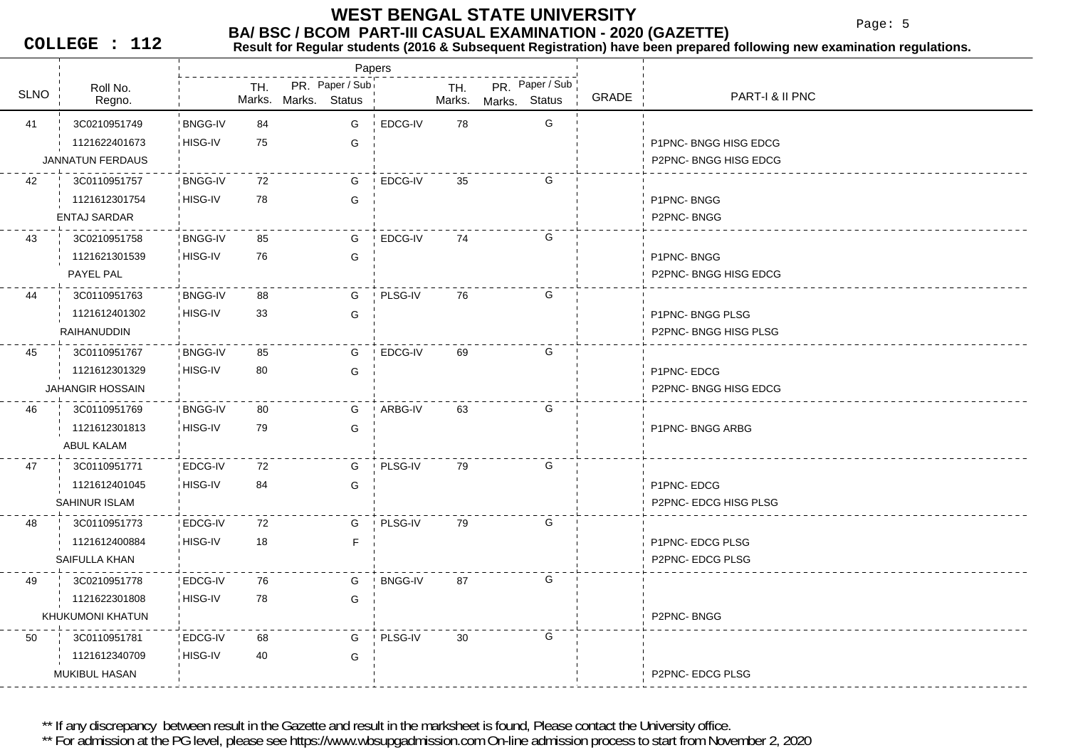**WEST BENGAL STATE UNIVERSITY**

Page: 5

**COLLEGE : 112**

#### **BA/ BSC / BCOM PART-III CASUAL EXAMINATION - 2020 (GAZETTE)**<br>Result for Requiar students (2016 & Subsequent Registration) have been prepared **Result for Regular students (2016 & Subsequent Registration) have been prepared following new examination regulations.**

|             |                         |                |     |                      |                 | Papers         |     |                      |                 |       |                       |
|-------------|-------------------------|----------------|-----|----------------------|-----------------|----------------|-----|----------------------|-----------------|-------|-----------------------|
| <b>SLNO</b> | Roll No.<br>Regno.      |                | TH. | Marks. Marks. Status | PR. Paper / Sub |                | TH. | Marks. Marks. Status | PR. Paper / Sub | GRADE | PART-I & II PNC       |
| 41          | 3C0210951749            | <b>BNGG-IV</b> | 84  |                      | G               | EDCG-IV        | 78  |                      | G               |       |                       |
|             | 1121622401673           | HISG-IV        | 75  |                      | G               |                |     |                      |                 |       | P1PNC-BNGG HISG EDCG  |
|             | <b>JANNATUN FERDAUS</b> |                |     |                      |                 |                |     |                      |                 |       | P2PNC-BNGG HISG EDCG  |
| 42          | 3C0110951757            | <b>BNGG-IV</b> | 72  |                      | G               | EDCG-IV        | 35  |                      | G               |       |                       |
|             | 1121612301754           | HISG-IV        | 78  |                      | G               |                |     |                      |                 |       | P1PNC-BNGG            |
|             | <b>ENTAJ SARDAR</b>     |                |     |                      |                 |                |     |                      |                 |       | P2PNC-BNGG            |
| 43          | 3C0210951758            | <b>BNGG-IV</b> | 85  |                      | G               | EDCG-IV        | 74  |                      | G               |       |                       |
|             | 1121621301539           | HISG-IV        | 76  |                      | G               |                |     |                      |                 |       | P1PNC-BNGG            |
|             | PAYEL PAL               |                |     |                      |                 |                |     |                      |                 |       | P2PNC-BNGG HISG EDCG  |
| 44          | 3C0110951763            | <b>BNGG-IV</b> | 88  |                      | G               | PLSG-IV        | 76  |                      | G               |       |                       |
|             | 1121612401302           | HISG-IV        | 33  |                      | G               |                |     |                      |                 |       | P1PNC-BNGG PLSG       |
|             | RAIHANUDDIN             |                |     |                      |                 |                |     |                      |                 |       | P2PNC-BNGG HISG PLSG  |
| 45          | 3C0110951767            | <b>BNGG-IV</b> | 85  |                      | G               | EDCG-IV        | 69  |                      | G               |       |                       |
|             | 1121612301329           | HISG-IV        | 80  |                      | G               |                |     |                      |                 |       | P1PNC-EDCG            |
|             | <b>JAHANGIR HOSSAIN</b> |                |     |                      |                 |                |     |                      |                 |       | P2PNC-BNGG HISG EDCG  |
| 46          | 3C0110951769            | <b>BNGG-IV</b> | 80  |                      | G               | ARBG-IV        | 63  |                      | G               |       |                       |
|             | 1121612301813           | i HISG-IV      | 79  |                      | G               |                |     |                      |                 |       | P1PNC-BNGG ARBG       |
|             | ABUL KALAM              |                |     |                      |                 |                |     |                      |                 |       |                       |
| 47          | 3C0110951771            | ! EDCG-IV      | 72  |                      | G               | PLSG-IV        | 79  |                      | G               |       |                       |
|             | 1121612401045           | HISG-IV        | 84  |                      | G               |                |     |                      |                 |       | P1PNC-EDCG            |
|             | SAHINUR ISLAM           |                |     |                      |                 |                |     |                      |                 |       | P2PNC- EDCG HISG PLSG |
| 48          | 3C0110951773            | EDCG-IV        | 72  |                      | G               | PLSG-IV        | 79  |                      | G               |       |                       |
|             | 1121612400884           | HISG-IV        | 18  |                      | $\mathsf F$     |                |     |                      |                 |       | P1PNC- EDCG PLSG      |
|             | SAIFULLA KHAN           |                |     |                      |                 |                |     |                      |                 |       | P2PNC-EDCG PLSG       |
| 49          | 3C0210951778            | EDCG-IV        | 76  |                      | G               | <b>BNGG-IV</b> | 87  |                      | G               |       |                       |
|             | 1121622301808           | HISG-IV        | 78  |                      | G               |                |     |                      |                 |       |                       |
|             | KHUKUMONI KHATUN        |                |     |                      |                 |                |     |                      |                 |       | P2PNC-BNGG            |
| 50          | 3C0110951781            | ! EDCG-IV      | 68  |                      | G               | PLSG-IV        | 30  |                      | G               |       |                       |
|             | 1121612340709           | HISG-IV        | 40  |                      | G               |                |     |                      |                 |       |                       |
|             | <b>MUKIBUL HASAN</b>    |                |     |                      |                 |                |     |                      |                 |       | P2PNC- EDCG PLSG      |

\*\* If any discrepancy between result in the Gazette and result in the marksheet is found, Please contact the University office.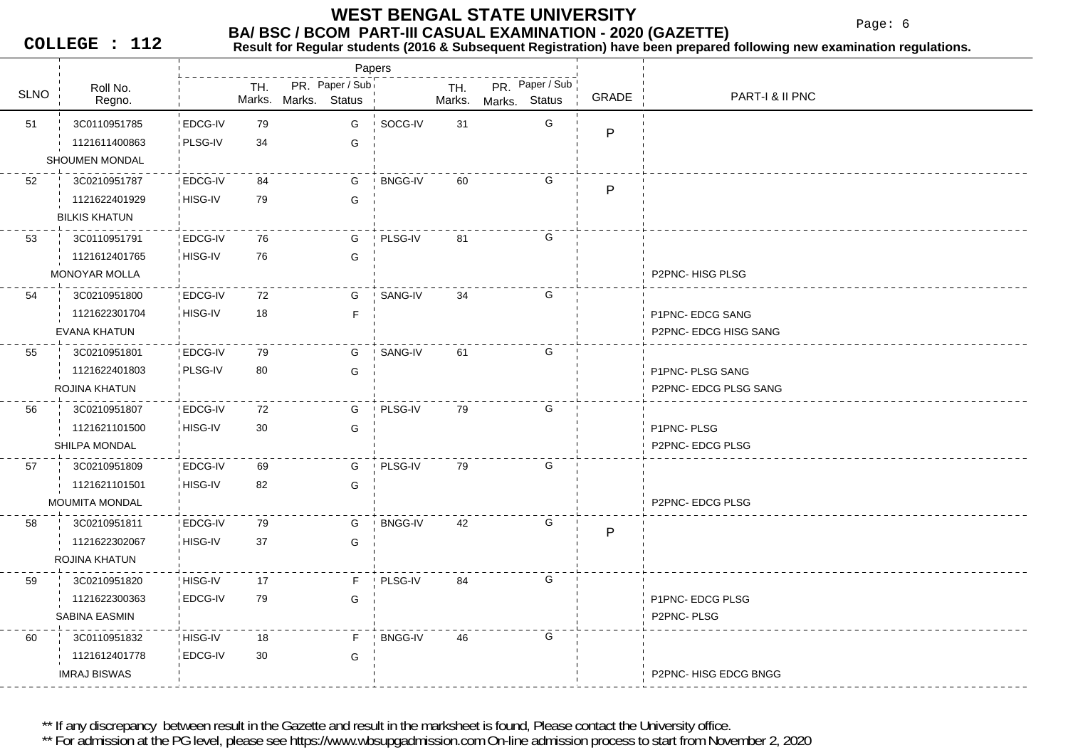Page: 6

**COLLEGE : 112**

### **Result for Regular students (2016 & Subsequent Registration) have been prepared following new examination regulations.**

|             |                       |                |     |                      | Papers          |                |        |               |                 |       |                       |
|-------------|-----------------------|----------------|-----|----------------------|-----------------|----------------|--------|---------------|-----------------|-------|-----------------------|
| <b>SLNO</b> | Roll No.              |                | TH. |                      | PR. Paper / Sub |                | TH.    |               | PR. Paper / Sub | GRADE | PART-I & II PNC       |
|             | Regno.                |                |     | Marks. Marks. Status |                 |                | Marks. | Marks. Status |                 |       |                       |
| 51          | 3C0110951785          | EDCG-IV        | 79  |                      | G               | SOCG-IV        | 31     |               | G               | P     |                       |
|             | 1121611400863         | PLSG-IV        | 34  |                      | G               |                |        |               |                 |       |                       |
|             | SHOUMEN MONDAL        |                |     |                      |                 |                |        |               |                 |       |                       |
| 52          | 3C0210951787          | ! EDCG-IV      | 84  |                      | G               | <b>BNGG-IV</b> | 60     |               | G               | P     |                       |
|             | 1121622401929         | HISG-IV        | 79  |                      | G               |                |        |               |                 |       |                       |
|             | <b>BILKIS KHATUN</b>  |                |     |                      |                 |                |        |               |                 |       |                       |
| 53          | 3C0110951791          | EDCG-IV        | 76  |                      | G               | PLSG-IV        | 81     |               | G               |       |                       |
|             | 1121612401765         | HISG-IV        | 76  |                      | G               |                |        |               |                 |       |                       |
|             | <b>MONOYAR MOLLA</b>  |                |     |                      |                 |                |        |               |                 |       | P2PNC-HISG PLSG       |
| 54          | 3C0210951800          | <b>EDCG-IV</b> | 72  |                      | G               | SANG-IV        | 34     |               | G               |       |                       |
|             | 1121622301704         | HISG-IV        | 18  |                      | F               |                |        |               |                 |       | P1PNC- EDCG SANG      |
|             | EVANA KHATUN          |                |     |                      |                 |                |        |               |                 |       | P2PNC- EDCG HISG SANG |
| 55          | 3C0210951801          | <b>EDCG-IV</b> | 79  |                      | G               | SANG-IV        | 61     |               | G               |       |                       |
|             | 1121622401803         | PLSG-IV        | 80  |                      | G               |                |        |               |                 |       | P1PNC- PLSG SANG      |
|             | ROJINA KHATUN         |                |     |                      |                 |                |        |               |                 |       | P2PNC- EDCG PLSG SANG |
| 56          | 3C0210951807          | EDCG-IV        | 72  |                      | G               | PLSG-IV        | 79     |               | G               |       |                       |
|             | 1121621101500         | HISG-IV        | 30  |                      | G               |                |        |               |                 |       | P1PNC-PLSG            |
|             | SHILPA MONDAL         |                |     |                      |                 |                |        |               |                 |       | P2PNC- EDCG PLSG      |
| 57          | 3C0210951809          | ! EDCG-IV      | 69  |                      | G               | PLSG-IV        | 79     |               | G               |       |                       |
|             | 1121621101501         | HISG-IV        | 82  |                      | G               |                |        |               |                 |       |                       |
|             | <b>MOUMITA MONDAL</b> |                |     |                      |                 |                |        |               |                 |       | P2PNC- EDCG PLSG      |
| 58          | 3C0210951811          | EDCG-IV        | 79  |                      | G               | <b>BNGG-IV</b> | 42     |               | G               | P     |                       |
|             | 1121622302067         | HISG-IV        | 37  |                      | G               |                |        |               |                 |       |                       |
|             | ROJINA KHATUN         |                |     |                      |                 |                |        |               |                 |       |                       |
| 59          | 3C0210951820          | HISG-IV        | 17  |                      | F.              | PLSG-IV        | 84     |               | G               |       |                       |
|             | 1121622300363         | <b>EDCG-IV</b> | 79  |                      | G               |                |        |               |                 |       | P1PNC- EDCG PLSG      |
|             | <b>SABINA EASMIN</b>  |                |     |                      |                 |                |        |               |                 |       | P2PNC-PLSG            |
| 60          | 3C0110951832          | HISG-IV        | 18  |                      | F.              | <b>BNGG-IV</b> | 46     |               | G               |       |                       |
|             | 1121612401778         | EDCG-IV        | 30  |                      | G               |                |        |               |                 |       |                       |
|             | <b>IMRAJ BISWAS</b>   |                |     |                      |                 |                |        |               |                 |       | P2PNC- HISG EDCG BNGG |
|             |                       |                |     |                      |                 |                |        |               |                 |       |                       |

\*\* If any discrepancy between result in the Gazette and result in the marksheet is found, Please contact the University office.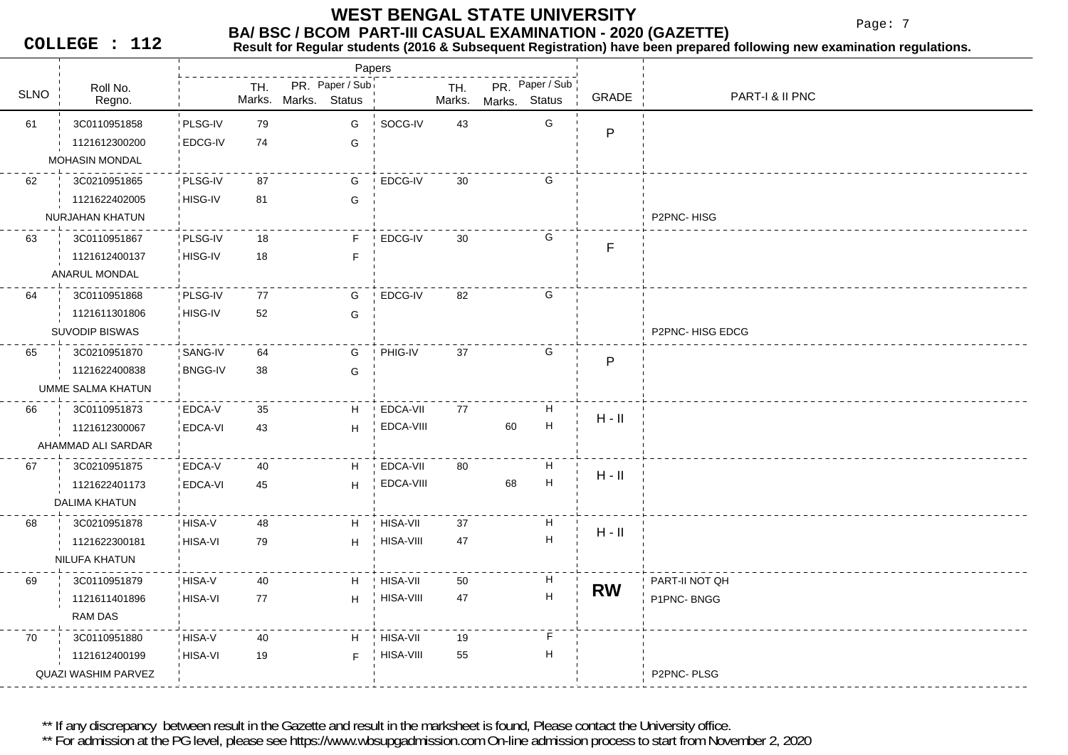**BA/ BSC / BCOM PART-III CASUAL EXAMINATION - 2020 (GAZETTE) WEST BENGAL STATE UNIVERSITY**

Papers

Page: 7

**COLLEGE : 112**

# **Result for Regular students (2016 & Subsequent Registration) have been prepared following new examination regulations.**

Roll No.O | Regno. | Marks. TH. PR. Paper / Sub SLNO Marks. TH. PR. Status Marks. Marks.**Status** PR Paper / Sub GRADE PART-I & II PNC 61 79 3C0110951858 PLSG-IVPLSG-IV EDCG-IV 74 GG SOCG-IV 43 G 1121612300200G PMOHASIN MONDAL 62 87 3C0210951865 PLSG-IVHISG-IV 81 G81 G EDCG-IV 30 G 1121622402005NURJAHAN KHATUN P2PNC- HISG 63 18 3C0110951867 PLSG-IV7 HISG-IV 18 F F EDCG-IV 30 G 1121612400137FANARUL MONDAL 64 77 3C0110951868 PLSG-IV6 HISG-IV 52 G G EDCG-IV 82 G 1121611301806G SUVODIP BISWAS P2PNC- HISG EDCG 65 64 3C0210951870 SANG-IVSANG-IV BNGG-IV 38 G38 GPHIG-IV 37 G 1121622400838PUMME SALMA KHATUN 66 35 3C0110951873 EDCA-VEDCA-VI 43 HHEDCA-VII 77 H 1121612300067 EDCA-VIII <sup>60</sup> <sup>H</sup> H - II AHAMMAD ALI SARDAR 67 40 3C0210951875 EDCA-VEDCA-V 3 EDCA-VI 45 H HEDCA-VII 80 H 1121622401173 EDCA-VIII <sup>68</sup> <sup>H</sup> H - II DALIMA KHATUN 68 48 3C0210951878 HISA-V1 HISA-VI 79 H 79 HHISA-VII 37 H 1121622300181н нэгтээсээсэн H H - II<br><sub>H</sub> HISA-VIII 47 H H H - II NILUFA KHATUN 69 40 3C0110951879 HISA-V6 HISA-VI 77 H 77 HHISA-VII 50 H 1121611401896PART-II NOT QHHISA-VIII 47  $H$  **RW** P1PNC- BNGG RAM DAS 70 40 3C0110951880 HISA-VHISA-V 9 HISA-VI 19 F 19 H----------------------<br>HISA-VII 19 F 1121612400199P2PNC- PLSGHISA-VIII 55 H QUAZI WASHIM PARVEZ

\*\* If any discrepancy between result in the Gazette and result in the marksheet is found. Please contact the University office.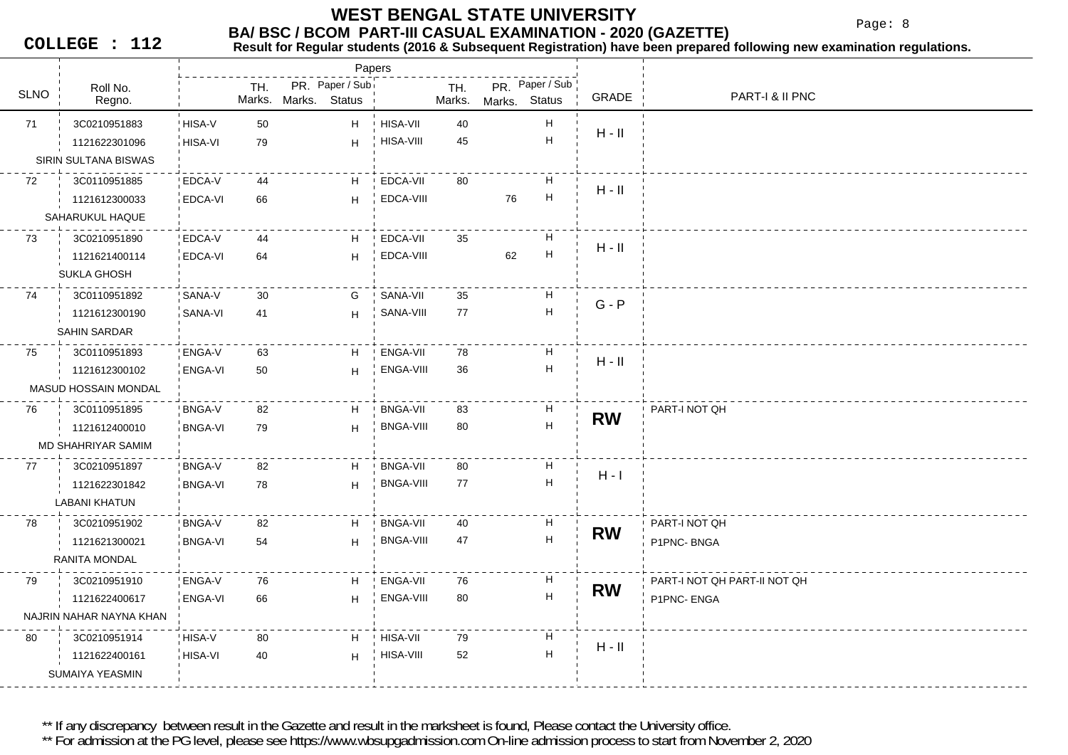Papers

Page: 8

**COLLEGE : 112**

# **Result for Regular students (2016 & Subsequent Registration) have been prepared following new examination regulations.**

| Roll No.    |                         |                | TH.    | PR. Paper / Sub |                  | TH.    |    | PR. Paper / Sub           |           |                              |
|-------------|-------------------------|----------------|--------|-----------------|------------------|--------|----|---------------------------|-----------|------------------------------|
| <b>SLNO</b> | Regno.                  |                | Marks. | Marks. Status   |                  | Marks. |    | Marks. Status             | GRADE     | PART-I & II PNC              |
| 71          | 3C0210951883            | HISA-V         | 50     | H               | ! HISA-VII       | 40     |    | H                         |           |                              |
|             | 1121622301096           | HISA-VI        | 79     | H               | HISA-VIII        | 45     |    | $\overline{H}$            | $H - II$  |                              |
|             | SIRIN SULTANA BISWAS    |                |        |                 |                  |        |    |                           |           |                              |
| 72          | 3C0110951885            | EDCA-V         | 44     | H               | EDCA-VII         | 80     |    | н                         |           |                              |
|             | 1121612300033           | <b>EDCA-VI</b> | 66     | H               | EDCA-VIII        |        | 76 | $\mathsf{H}$              | $H - II$  |                              |
|             | SAHARUKUL HAQUE         |                |        |                 |                  |        |    |                           |           |                              |
| 73          | 3C0210951890            | EDCA-V         | 44     | H               | EDCA-VII         | 35     |    | H                         |           |                              |
|             | 1121621400114           | <b>EDCA-VI</b> | 64     | H               | EDCA-VIII        |        | 62 | $\mathsf{H}$              | $H - II$  |                              |
|             | SUKLA GHOSH             |                |        |                 |                  |        |    |                           |           |                              |
| 74          | 3C0110951892            | SANA-V         | 30     | G               | SANA-VII         | 35     |    | н                         |           |                              |
|             | 1121612300190           | SANA-VI        | 41     | H               | SANA-VIII        | 77     |    | $\mathsf{H}$              | $G - P$   |                              |
|             | SAHIN SARDAR            |                |        |                 |                  |        |    |                           |           |                              |
| 75          | 3C0110951893            | ENGA-V         | 63     | H               | <b>ENGA-VII</b>  | 78     |    | н                         |           |                              |
|             | 1121612300102           | ENGA-VI        | 50     | H               | ENGA-VIII        | 36     |    | $\overline{H}$            | $H - II$  |                              |
|             | MASUD HOSSAIN MONDAL    |                |        |                 |                  |        |    |                           |           |                              |
| 76          | 3C0110951895            | <b>BNGA-V</b>  | 82     | H               | <b>BNGA-VII</b>  | 83     |    | H                         |           | PART-I NOT QH                |
|             | 1121612400010           | <b>BNGA-VI</b> | 79     | H               | <b>BNGA-VIII</b> | 80     |    | $\mathsf{H}$              | <b>RW</b> |                              |
|             | MD SHAHRIYAR SAMIM      |                |        |                 |                  |        |    |                           |           |                              |
| 77          | 3C0210951897            | <b>BNGA-V</b>  | 82     | H               | <b>BNGA-VII</b>  | 80     |    | н                         |           |                              |
|             | 1121622301842           | <b>BNGA-VI</b> | 78     | H               | <b>BNGA-VIII</b> | 77     |    | $\mathsf{H}$              | $H - I$   |                              |
|             | <b>LABANI KHATUN</b>    |                |        |                 |                  |        |    |                           |           |                              |
| 78          | 3C0210951902            | <b>BNGA-V</b>  | 82     | H               | <b>BNGA-VII</b>  | 40     |    | н                         |           | PART-I NOT QH                |
|             | 1121621300021           | <b>BNGA-VI</b> | 54     | H               | BNGA-VIII        | 47     |    | $\mathsf{H}$              | <b>RW</b> | P1PNC-BNGA                   |
|             | RANITA MONDAL           |                |        |                 |                  |        |    |                           |           |                              |
| 79          | 3C0210951910            | <b>ENGA-V</b>  | 76     | H               | ENGA-VII         | 76     |    | н                         |           | PART-I NOT QH PART-II NOT QH |
|             | 1121622400617           | ENGA-VI        | 66     | H               | ENGA-VIII        | 80     |    | $\boldsymbol{\mathsf{H}}$ | <b>RW</b> | P1PNC-ENGA                   |
|             | NAJRIN NAHAR NAYNA KHAN |                |        |                 |                  |        |    |                           |           |                              |
| 80          | 3C0210951914            | HISA-V         | 80     | H               | <b>HISA-VII</b>  | 79     |    | H                         |           |                              |
|             | 1121622400161           | HISA-VI        | 40     | H               | HISA-VIII        | 52     |    | $\mathsf{H}$              | $H - II$  |                              |
|             | SUMAIYA YEASMIN         |                |        |                 |                  |        |    |                           |           |                              |
|             |                         |                |        |                 |                  |        |    |                           |           |                              |

\*\* If any discrepancy between result in the Gazette and result in the marksheet is found, Please contact the University office.